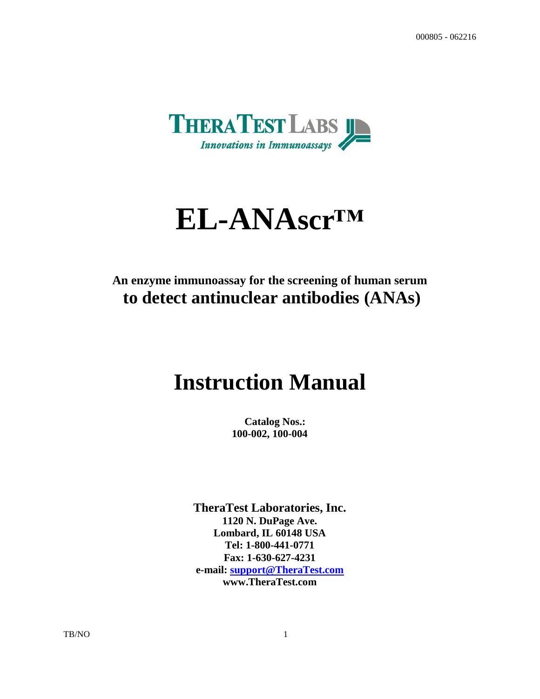

# **EL-ANAscr™**

# **An enzyme immunoassay for the screening of human serum to detect antinuclear antibodies (ANAs)**

# **Instruction Manual**

 **Catalog Nos.: 100-002, 100-004**

**TheraTest Laboratories, Inc. 1120 N. DuPage Ave. Lombard, IL 60148 USA Tel: 1-800-441-0771 Fax: 1-630-627-4231 e-mail: [support@TheraTest.com](mailto:sm@TheraTest.com) www.TheraTest.com**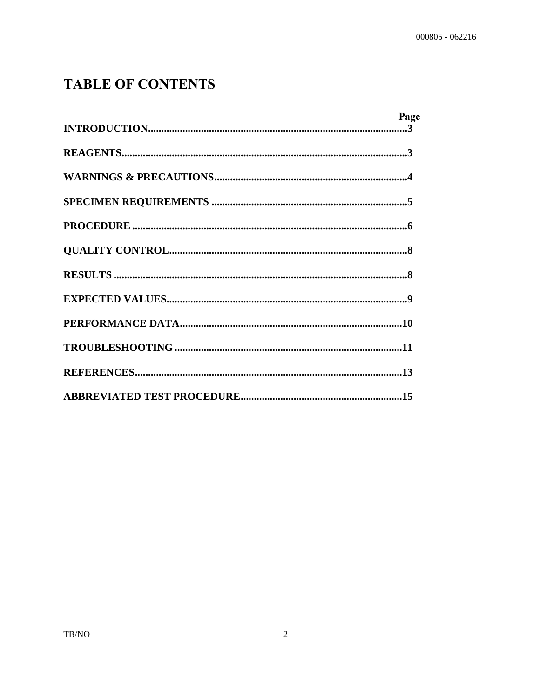# **TABLE OF CONTENTS**

| Page |  |
|------|--|
|      |  |
|      |  |
|      |  |
|      |  |
|      |  |
|      |  |
|      |  |
|      |  |
|      |  |
|      |  |
|      |  |
|      |  |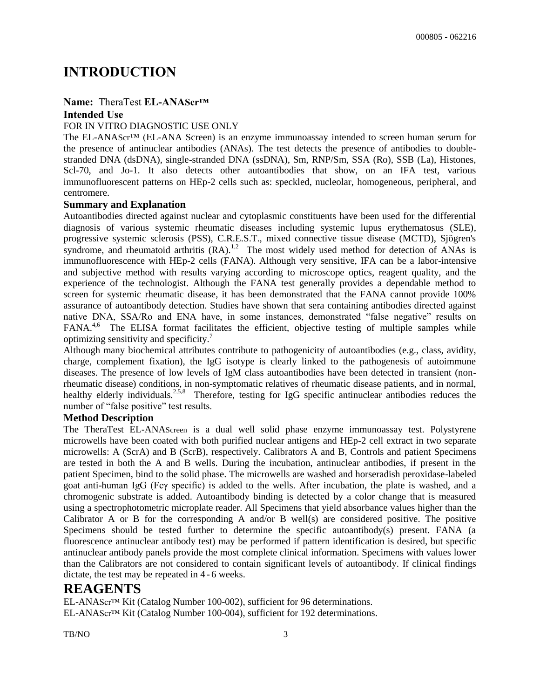# **INTRODUCTION**

#### **Name:** TheraTest **EL-ANAScr™ Intended Use**

#### FOR IN VITRO DIAGNOSTIC USE ONLY

The EL-ANAScr™ (EL-ANA Screen) is an enzyme immunoassay intended to screen human serum for the presence of antinuclear antibodies (ANAs). The test detects the presence of antibodies to doublestranded DNA (dsDNA), single-stranded DNA (ssDNA), Sm, RNP/Sm, SSA (Ro), SSB (La), Histones, Scl-70, and Jo-1. It also detects other autoantibodies that show, on an IFA test, various immunofluorescent patterns on HEp-2 cells such as: speckled, nucleolar, homogeneous, peripheral, and centromere.

#### **Summary and Explanation**

Autoantibodies directed against nuclear and cytoplasmic constituents have been used for the differential diagnosis of various systemic rheumatic diseases including systemic lupus erythematosus (SLE), progressive systemic sclerosis (PSS), C.R.E.S.T., mixed connective tissue disease (MCTD), Sjögren's syndrome, and rheumatoid arthritis  $(RA)$ .<sup>1,2</sup> The most widely used method for detection of ANAs is immunofluorescence with HEp-2 cells (FANA). Although very sensitive, IFA can be a labor-intensive and subjective method with results varying according to microscope optics, reagent quality, and the experience of the technologist. Although the FANA test generally provides a dependable method to screen for systemic rheumatic disease, it has been demonstrated that the FANA cannot provide 100% assurance of autoantibody detection. Studies have shown that sera containing antibodies directed against native DNA, SSA/Ro and ENA have, in some instances, demonstrated "false negative" results on FANA<sup>4,6</sup> The ELISA format facilitates the efficient, objective testing of multiple samples while optimizing sensitivity and specificity.<sup>7</sup>

Although many biochemical attributes contribute to pathogenicity of autoantibodies (e.g., class, avidity, charge, complement fixation), the IgG isotype is clearly linked to the pathogenesis of autoimmune diseases. The presence of low levels of IgM class autoantibodies have been detected in transient (nonrheumatic disease) conditions, in non-symptomatic relatives of rheumatic disease patients, and in normal, healthy elderly individuals.<sup>2,5,8</sup> Therefore, testing for IgG specific antinuclear antibodies reduces the number of "false positive" test results.

#### **Method Description**

The TheraTest EL-ANAScreen is a dual well solid phase enzyme immunoassay test. Polystyrene microwells have been coated with both purified nuclear antigens and HEp-2 cell extract in two separate microwells: A (ScrA) and B (ScrB), respectively. Calibrators A and B, Controls and patient Specimens are tested in both the A and B wells. During the incubation, antinuclear antibodies, if present in the patient Specimen, bind to the solid phase. The microwells are washed and horseradish peroxidase-labeled goat anti-human IgG (Fcγ specific) is added to the wells. After incubation, the plate is washed, and a chromogenic substrate is added. Autoantibody binding is detected by a color change that is measured using a spectrophotometric microplate reader. All Specimens that yield absorbance values higher than the Calibrator A or B for the corresponding A and/or B well(s) are considered positive. The positive Specimens should be tested further to determine the specific autoantibody(s) present. FANA (a fluorescence antinuclear antibody test) may be performed if pattern identification is desired, but specific antinuclear antibody panels provide the most complete clinical information. Specimens with values lower than the Calibrators are not considered to contain significant levels of autoantibody. If clinical findings dictate, the test may be repeated in 4 - 6 weeks.

### **REAGENTS**

EL-ANAScr™ Kit (Catalog Number 100-002), sufficient for 96 determinations. EL-ANAScr™ Kit (Catalog Number 100-004), sufficient for 192 determinations.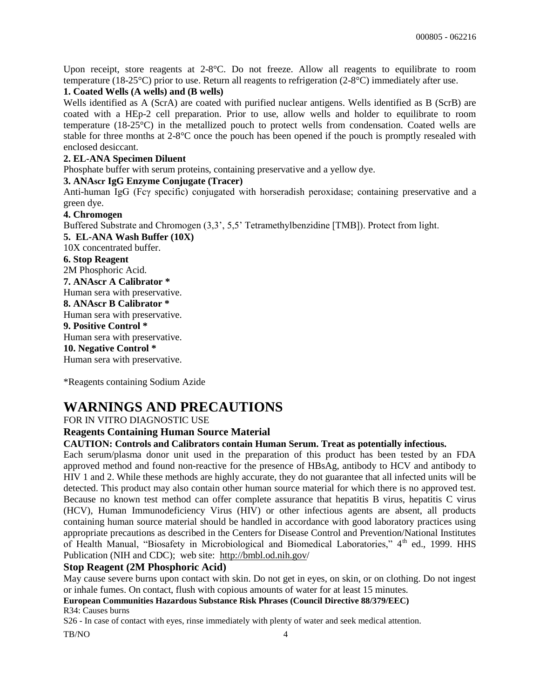Upon receipt, store reagents at 2-8°C. Do not freeze. Allow all reagents to equilibrate to room temperature (18-25°C) prior to use. Return all reagents to refrigeration (2-8°C) immediately after use.

#### **1. Coated Wells (A wells) and (B wells)**

Wells identified as A (ScrA) are coated with purified nuclear antigens. Wells identified as B (ScrB) are coated with a HEp-2 cell preparation. Prior to use, allow wells and holder to equilibrate to room temperature (18-25°C) in the metallized pouch to protect wells from condensation. Coated wells are stable for three months at 2-8°C once the pouch has been opened if the pouch is promptly resealed with enclosed desiccant.

#### **2. EL-ANA Specimen Diluent**

Phosphate buffer with serum proteins, containing preservative and a yellow dye.

#### **3. ANAscr IgG Enzyme Conjugate (Tracer)**

Anti-human IgG (Fcγ specific) conjugated with horseradish peroxidase; containing preservative and a green dye.

#### **4. Chromogen**

Buffered Substrate and Chromogen (3,3', 5,5' Tetramethylbenzidine [TMB]). Protect from light.

**5. EL-ANA Wash Buffer (10X)** 10X concentrated buffer. **6. Stop Reagent**  2M Phosphoric Acid. **7. ANAscr A Calibrator \*** Human sera with preservative. **8. ANAscr B Calibrator \***  Human sera with preservative. **9. Positive Control \*** Human sera with preservative. **10. Negative Control \*** Human sera with preservative.

\*Reagents containing Sodium Azide

## **WARNINGS AND PRECAUTIONS**

FOR IN VITRO DIAGNOSTIC USE

#### **Reagents Containing Human Source Material**

#### **CAUTION: Controls and Calibrators contain Human Serum. Treat as potentially infectious.**

Each serum/plasma donor unit used in the preparation of this product has been tested by an FDA approved method and found non-reactive for the presence of HBsAg, antibody to HCV and antibody to HIV 1 and 2. While these methods are highly accurate, they do not guarantee that all infected units will be detected. This product may also contain other human source material for which there is no approved test. Because no known test method can offer complete assurance that hepatitis B virus, hepatitis C virus (HCV), Human Immunodeficiency Virus (HIV) or other infectious agents are absent, all products containing human source material should be handled in accordance with good laboratory practices using appropriate precautions as described in the Centers for Disease Control and Prevention/National Institutes of Health Manual, "Biosafety in Microbiological and Biomedical Laboratories," 4<sup>th</sup> ed., 1999. HHS Publication (NIH and CDC); web site: http://bmbl.od.nih.gov/

#### **Stop Reagent (2M Phosphoric Acid)**

May cause severe burns upon contact with skin. Do not get in eyes, on skin, or on clothing. Do not ingest or inhale fumes. On contact, flush with copious amounts of water for at least 15 minutes.

**European Communities Hazardous Substance Risk Phrases (Council Directive 88/379/EEC)** R34: Causes burns

S26 - In case of contact with eyes, rinse immediately with plenty of water and seek medical attention.

TB/NO 4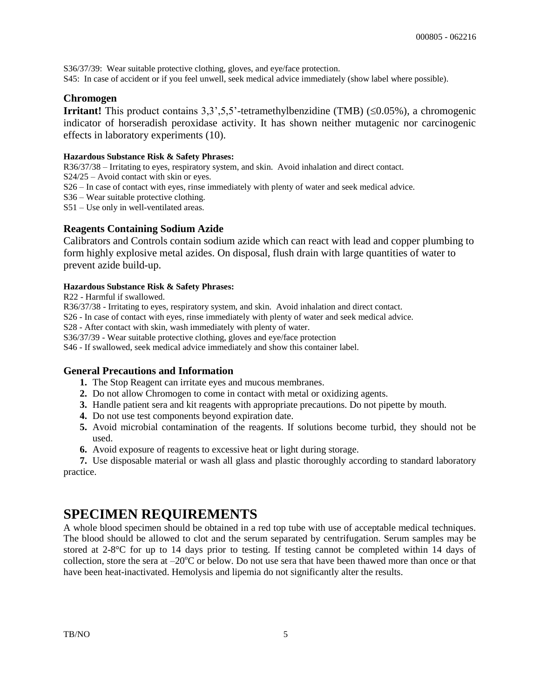S36/37/39: Wear suitable protective clothing, gloves, and eye/face protection. S45: In case of accident or if you feel unwell, seek medical advice immediately (show label where possible).

#### **Chromogen**

**Irritant!** This product contains  $3,3,5,5$ <sup>2</sup>-tetramethylbenzidine (TMB) ( $\leq 0.05\%$ ), a chromogenic indicator of horseradish peroxidase activity. It has shown neither mutagenic nor carcinogenic effects in laboratory experiments (10).

#### **Hazardous Substance Risk & Safety Phrases:**

R36/37/38 – Irritating to eyes, respiratory system, and skin. Avoid inhalation and direct contact.

S24/25 – Avoid contact with skin or eyes.

S26 – In case of contact with eyes, rinse immediately with plenty of water and seek medical advice.

S36 – Wear suitable protective clothing.

S51 – Use only in well-ventilated areas.

#### **Reagents Containing Sodium Azide**

Calibrators and Controls contain sodium azide which can react with lead and copper plumbing to form highly explosive metal azides. On disposal, flush drain with large quantities of water to prevent azide build-up.

#### **Hazardous Substance Risk & Safety Phrases:**

R22 - Harmful if swallowed.

R36/37/38 - Irritating to eyes, respiratory system, and skin. Avoid inhalation and direct contact.

S26 - In case of contact with eyes, rinse immediately with plenty of water and seek medical advice.

S28 - After contact with skin, wash immediately with plenty of water.

S36/37/39 - Wear suitable protective clothing, gloves and eye/face protection

S46 - If swallowed, seek medical advice immediately and show this container label.

#### **General Precautions and Information**

- **1.** The Stop Reagent can irritate eyes and mucous membranes.
- **2.** Do not allow Chromogen to come in contact with metal or oxidizing agents.
- **3.** Handle patient sera and kit reagents with appropriate precautions. Do not pipette by mouth.
- **4.** Do not use test components beyond expiration date.
- **5.** Avoid microbial contamination of the reagents. If solutions become turbid, they should not be used.
- **6.** Avoid exposure of reagents to excessive heat or light during storage.

**7.** Use disposable material or wash all glass and plastic thoroughly according to standard laboratory practice.

# **SPECIMEN REQUIREMENTS**

A whole blood specimen should be obtained in a red top tube with use of acceptable medical techniques. The blood should be allowed to clot and the serum separated by centrifugation. Serum samples may be stored at 2-8°C for up to 14 days prior to testing. If testing cannot be completed within 14 days of collection, store the sera at  $-20^{\circ}$ C or below. Do not use sera that have been thawed more than once or that have been heat-inactivated. Hemolysis and lipemia do not significantly alter the results.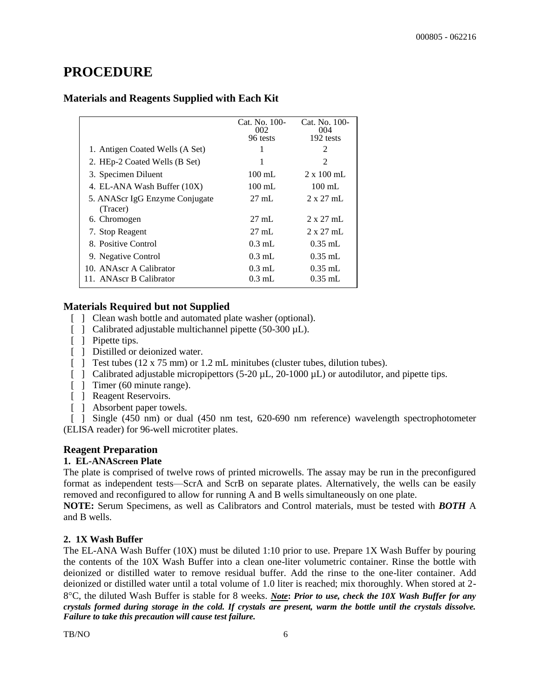# **PROCEDURE**

#### **Materials and Reagents Supplied with Each Kit**

|                                            | Cat. No. 100-<br>002<br>96 tests | Cat. No. 100-<br>004<br>192 tests |
|--------------------------------------------|----------------------------------|-----------------------------------|
| 1. Antigen Coated Wells (A Set)            | 1                                | 2                                 |
| 2. HEp-2 Coated Wells (B Set)              | 1                                | $\mathfrak{D}$                    |
| 3. Specimen Diluent                        | $100 \text{ mL}$                 | $2 \times 100$ mL                 |
| 4. EL-ANA Wash Buffer (10X)                | $100 \text{ mL}$                 | $100 \text{ mL}$                  |
| 5. ANAScr IgG Enzyme Conjugate<br>(Tracer) | $27 \text{ mL}$                  | $2 \times 27$ mL                  |
| 6. Chromogen                               | $27 \text{ mL}$                  | $2 \times 27$ mL                  |
| 7. Stop Reagent                            | $27 \text{ mL}$                  | $2 \times 27$ mL                  |
| 8. Positive Control                        | $0.3$ mL                         | $0.35$ mL                         |
| 9. Negative Control                        | $0.3 \text{ mL}$                 | $0.35$ mL                         |
| 10. ANAscr A Calibrator                    | $0.3 \text{ mL}$                 | $0.35$ mL                         |
| 11. ANAscr B Calibrator                    | $0.3$ mL                         | $0.35$ mL                         |

#### **Materials Required but not Supplied**

- [  $\Box$  Clean wash bottle and automated plate washer (optional).
- [ ] Calibrated adjustable multichannel pipette (50-300 µL).
- [ ] Pipette tips.
- [  $\Box$  Distilled or deionized water.
- [ ] Test tubes  $(12 \times 75 \text{ mm})$  or 1.2 mL minitubes (cluster tubes, dilution tubes).
- [ ] Calibrated adjustable micropipettors (5-20  $\mu$ L, 20-1000  $\mu$ L) or autodilutor, and pipette tips.
- [ ] Timer (60 minute range).
- [ ] Reagent Reservoirs.
- [ ] Absorbent paper towels.

[ ] Single (450 nm) or dual (450 nm test, 620-690 nm reference) wavelength spectrophotometer (ELISA reader) for 96-well microtiter plates.

#### **Reagent Preparation**

#### **1. EL-ANAScreen Plate**

The plate is comprised of twelve rows of printed microwells. The assay may be run in the preconfigured format as independent tests—ScrA and ScrB on separate plates. Alternatively, the wells can be easily removed and reconfigured to allow for running A and B wells simultaneously on one plate.

**NOTE:** Serum Specimens, as well as Calibrators and Control materials, must be tested with *BOTH* A and B wells.

#### **2. 1X Wash Buffer**

The EL-ANA Wash Buffer (10X) must be diluted 1:10 prior to use. Prepare 1X Wash Buffer by pouring the contents of the 10X Wash Buffer into a clean one-liter volumetric container. Rinse the bottle with deionized or distilled water to remove residual buffer. Add the rinse to the one-liter container. Add deionized or distilled water until a total volume of 1.0 liter is reached; mix thoroughly. When stored at 2- 8C, the diluted Wash Buffer is stable for 8 weeks. *Note***:** *Prior to use, check the 10X Wash Buffer for any crystals formed during storage in the cold. If crystals are present, warm the bottle until the crystals dissolve. Failure to take this precaution will cause test failure.*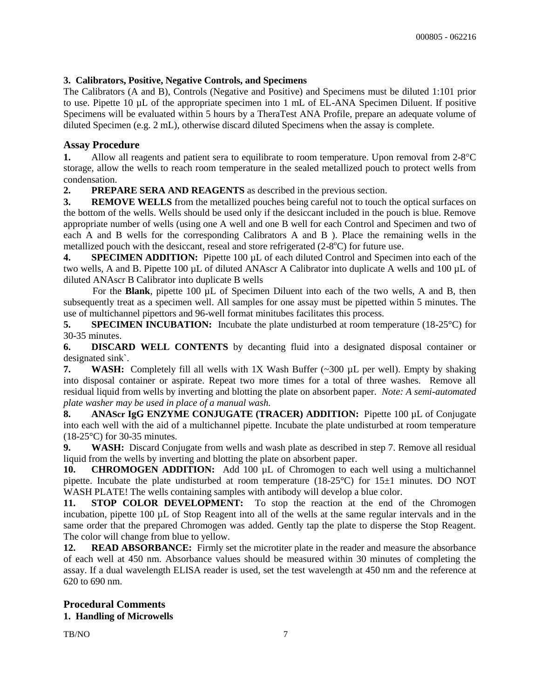#### **3. Calibrators, Positive, Negative Controls, and Specimens**

The Calibrators (A and B), Controls (Negative and Positive) and Specimens must be diluted 1:101 prior to use. Pipette 10 µL of the appropriate specimen into 1 mL of EL-ANA Specimen Diluent. If positive Specimens will be evaluated within 5 hours by a TheraTest ANA Profile, prepare an adequate volume of diluted Specimen (e.g. 2 mL), otherwise discard diluted Specimens when the assay is complete.

#### **Assay Procedure**

**1.** Allow all reagents and patient sera to equilibrate to room temperature. Upon removal from 2-8 °C storage, allow the wells to reach room temperature in the sealed metallized pouch to protect wells from condensation.

**2. PREPARE SERA AND REAGENTS** as described in the previous section.

**3. REMOVE WELLS** from the metallized pouches being careful not to touch the optical surfaces on the bottom of the wells. Wells should be used only if the desiccant included in the pouch is blue. Remove appropriate number of wells (using one A well and one B well for each Control and Specimen and two of each A and B wells for the corresponding Calibrators A and B ). Place the remaining wells in the metallized pouch with the desiccant, reseal and store refrigerated  $(2-8^{\circ}C)$  for future use.

**4. SPECIMEN ADDITION:** Pipette 100 µL of each diluted Control and Specimen into each of the two wells, A and B. Pipette 100 µL of diluted ANAscr A Calibrator into duplicate A wells and 100 µL of diluted ANAscr B Calibrator into duplicate B wells

For the **Blank**, pipette 100 µL of Specimen Diluent into each of the two wells, A and B, then subsequently treat as a specimen well. All samples for one assay must be pipetted within 5 minutes. The use of multichannel pipettors and 96-well format minitubes facilitates this process.

**5. SPECIMEN INCUBATION:** Incubate the plate undisturbed at room temperature (18-25<sup>o</sup>C) for 30-35 minutes.

**6. DISCARD WELL CONTENTS** by decanting fluid into a designated disposal container or designated sink`.

**7. WASH:** Completely fill all wells with 1X Wash Buffer (~300 µL per well). Empty by shaking into disposal container or aspirate. Repeat two more times for a total of three washes. Remove all residual liquid from wells by inverting and blotting the plate on absorbent paper. *Note: A semi-automated plate washer may be used in place of a manual wash.*

**8. ANAScr IgG ENZYME CONJUGATE (TRACER) ADDITION:** Pipette 100 µL of Conjugate into each well with the aid of a multichannel pipette. Incubate the plate undisturbed at room temperature (18-25°C) for 30-35 minutes.

**9. WASH:** Discard Conjugate from wells and wash plate as described in step 7. Remove all residual liquid from the wells by inverting and blotting the plate on absorbent paper.

**10. CHROMOGEN ADDITION:** Add 100 µL of Chromogen to each well using a multichannel pipette. Incubate the plate undisturbed at room temperature (18-25°C) for 15±1 minutes. DO NOT WASH PLATE! The wells containing samples with antibody will develop a blue color.

**11. STOP COLOR DEVELOPMENT:** To stop the reaction at the end of the Chromogen incubation, pipette 100 µL of Stop Reagent into all of the wells at the same regular intervals and in the same order that the prepared Chromogen was added. Gently tap the plate to disperse the Stop Reagent. The color will change from blue to yellow.

**12. READ ABSORBANCE:** Firmly set the microtiter plate in the reader and measure the absorbance of each well at 450 nm. Absorbance values should be measured within 30 minutes of completing the assay. If a dual wavelength ELISA reader is used, set the test wavelength at 450 nm and the reference at 620 to 690 nm.

#### **Procedural Comments 1. Handling of Microwells**

TB/NO 2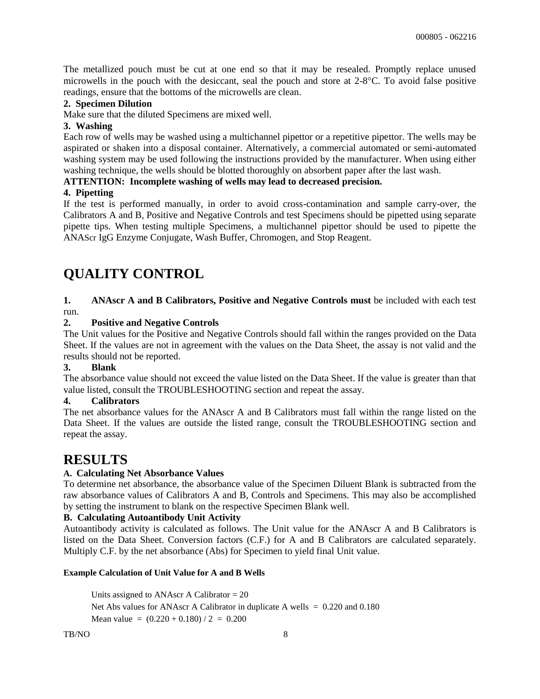The metallized pouch must be cut at one end so that it may be resealed. Promptly replace unused microwells in the pouch with the desiccant, seal the pouch and store at 2-8C. To avoid false positive readings, ensure that the bottoms of the microwells are clean.

#### **2. Specimen Dilution**

Make sure that the diluted Specimens are mixed well.

#### **3. Washing**

Each row of wells may be washed using a multichannel pipettor or a repetitive pipettor. The wells may be aspirated or shaken into a disposal container. Alternatively, a commercial automated or semi-automated washing system may be used following the instructions provided by the manufacturer. When using either washing technique, the wells should be blotted thoroughly on absorbent paper after the last wash.

#### **ATTENTION: Incomplete washing of wells may lead to decreased precision.**

#### **4. Pipetting**

If the test is performed manually, in order to avoid cross-contamination and sample carry-over, the Calibrators A and B, Positive and Negative Controls and test Specimens should be pipetted using separate pipette tips. When testing multiple Specimens, a multichannel pipettor should be used to pipette the ANAScr IgG Enzyme Conjugate, Wash Buffer, Chromogen, and Stop Reagent.

# **QUALITY CONTROL**

#### **1. ANAscr A and B Calibrators, Positive and Negative Controls must** be included with each test run.

#### **2. Positive and Negative Controls**

The Unit values for the Positive and Negative Controls should fall within the ranges provided on the Data Sheet. If the values are not in agreement with the values on the Data Sheet, the assay is not valid and the results should not be reported.

#### **3. Blank**

The absorbance value should not exceed the value listed on the Data Sheet. If the value is greater than that value listed, consult the TROUBLESHOOTING section and repeat the assay.

#### **4. Calibrators**

The net absorbance values for the ANAscr A and B Calibrators must fall within the range listed on the Data Sheet. If the values are outside the listed range, consult the TROUBLESHOOTING section and repeat the assay.

## **RESULTS**

#### **A. Calculating Net Absorbance Values**

To determine net absorbance, the absorbance value of the Specimen Diluent Blank is subtracted from the raw absorbance values of Calibrators A and B, Controls and Specimens. This may also be accomplished by setting the instrument to blank on the respective Specimen Blank well.

#### **B. Calculating Autoantibody Unit Activity**

Autoantibody activity is calculated as follows. The Unit value for the ANAscr A and B Calibrators is listed on the Data Sheet. Conversion factors (C.F.) for A and B Calibrators are calculated separately. Multiply C.F. by the net absorbance (Abs) for Specimen to yield final Unit value.

#### **Example Calculation of Unit Value for A and B Wells**

Units assigned to ANAscr A Calibrator = 20 Net Abs values for ANAscr A Calibrator in duplicate A wells  $= 0.220$  and 0.180 Mean value =  $(0.220 + 0.180) / 2 = 0.200$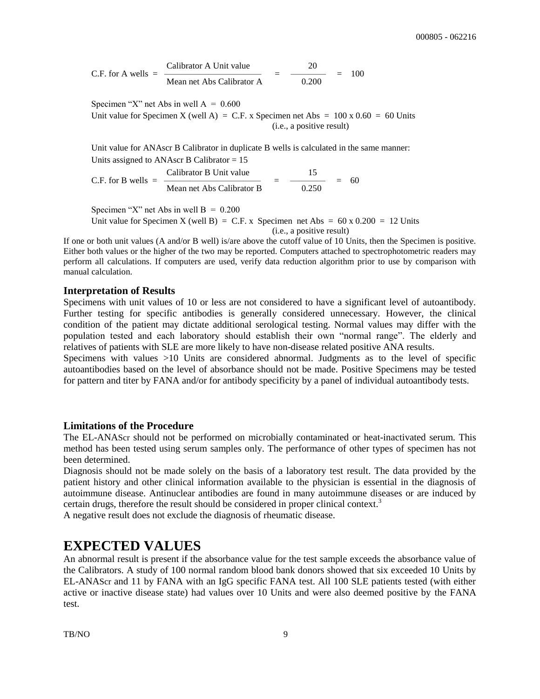Calibrator A Unit value 20 C.F. for A wells =  $\frac{1}{\text{Mean net Abs Calibration A}} = \frac{100}{\text{0.200}}$ Mean net Abs Calibrator A

Specimen "X" net Abs in well  $A = 0.600$ 

Unit value for Specimen X (well A) = C.F. x Specimen net Abs =  $100 \times 0.60 = 60$  Units (i.e., a positive result)

Unit value for ANAscr B Calibrator in duplicate B wells is calculated in the same manner: Units assigned to ANAscr B Calibrator = 15

Calibrator B Unit value  $\frac{15}{\text{Mean net Abs Calibrator B}} = \frac{15}{0.250}$ C.F. for B wells = ——————————— = ———— = 60 Mean net Abs Calibrator B.

Specimen "X" net Abs in well  $B = 0.200$ 

Unit value for Specimen X (well B) = C.F. x Specimen net Abs =  $60 \times 0.200 = 12$  Units (i.e., a positive result)

If one or both unit values (A and/or B well) is/are above the cutoff value of 10 Units, then the Specimen is positive. Either both values or the higher of the two may be reported. Computers attached to spectrophotometric readers may perform all calculations. If computers are used, verify data reduction algorithm prior to use by comparison with manual calculation.

#### **Interpretation of Results**

Specimens with unit values of 10 or less are not considered to have a significant level of autoantibody. Further testing for specific antibodies is generally considered unnecessary. However, the clinical condition of the patient may dictate additional serological testing. Normal values may differ with the population tested and each laboratory should establish their own "normal range". The elderly and relatives of patients with SLE are more likely to have non-disease related positive ANA results.

Specimens with values >10 Units are considered abnormal. Judgments as to the level of specific autoantibodies based on the level of absorbance should not be made. Positive Specimens may be tested for pattern and titer by FANA and/or for antibody specificity by a panel of individual autoantibody tests.

#### **Limitations of the Procedure**

The EL-ANAScr should not be performed on microbially contaminated or heat-inactivated serum. This method has been tested using serum samples only. The performance of other types of specimen has not been determined.

Diagnosis should not be made solely on the basis of a laboratory test result. The data provided by the patient history and other clinical information available to the physician is essential in the diagnosis of autoimmune disease. Antinuclear antibodies are found in many autoimmune diseases or are induced by certain drugs, therefore the result should be considered in proper clinical context.<sup>3</sup>

A negative result does not exclude the diagnosis of rheumatic disease.

### **EXPECTED VALUES**

An abnormal result is present if the absorbance value for the test sample exceeds the absorbance value of the Calibrators. A study of 100 normal random blood bank donors showed that six exceeded 10 Units by EL-ANAScr and 11 by FANA with an IgG specific FANA test. All 100 SLE patients tested (with either active or inactive disease state) had values over 10 Units and were also deemed positive by the FANA test.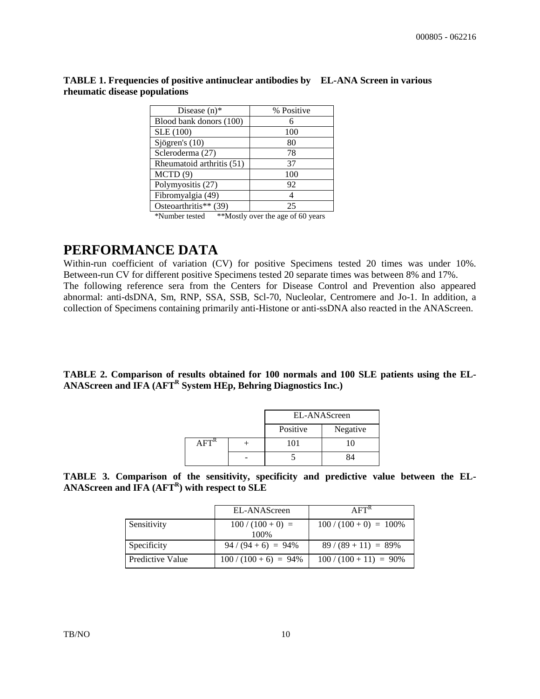| Disease $(n)$ *                                                                                   | % Positive           |
|---------------------------------------------------------------------------------------------------|----------------------|
| Blood bank donors (100)                                                                           |                      |
| SLE (100)                                                                                         | 100                  |
| Sjögren's $(10)$                                                                                  | 80                   |
| Scleroderma (27)                                                                                  | 78                   |
| Rheumatoid arthritis (51)                                                                         | 37                   |
| MCTD(9)                                                                                           | 100                  |
| Polymyositis (27)                                                                                 | 92                   |
| Fibromyalgia (49)                                                                                 |                      |
| Osteoarthritis** (39)                                                                             | 25                   |
| $\mathcal{A} = \mathcal{A} = \mathcal{A} = \mathcal{A} = \mathcal{A} = \mathcal{A} = \mathcal{A}$ | $\sim$ $\sim$ $\sim$ |

**TABLE 1. Frequencies of positive antinuclear antibodies by EL-ANA Screen in various rheumatic disease populations**

\*Number tested \*\*Mostly over the age of 60 years

## **PERFORMANCE DATA**

Within-run coefficient of variation (CV) for positive Specimens tested 20 times was under 10%. Between-run CV for different positive Specimens tested 20 separate times was between 8% and 17%. The following reference sera from the Centers for Disease Control and Prevention also appeared abnormal: anti-dsDNA, Sm, RNP, SSA, SSB, Scl-70, Nucleolar, Centromere and Jo-1. In addition, a collection of Specimens containing primarily anti-Histone or anti-ssDNA also reacted in the ANAScreen.

**TABLE 2. Comparison of results obtained for 100 normals and 100 SLE patients using the EL-ANAScreen and IFA (AFT<sup>R</sup> System HEp, Behring Diagnostics Inc.)**

|  | EL-ANAScreen |          |
|--|--------------|----------|
|  | Positive     | Negative |
|  | 101          |          |
|  |              | 84       |

**TABLE 3. Comparison of the sensitivity, specificity and predictive value between the EL-ANAScreen and IFA (AFT<sup>R</sup> ) with respect to SLE**

|                  | EL-ANAScreen           | AFT <sup>K</sup>          |
|------------------|------------------------|---------------------------|
| Sensitivity      | $100/(100+0)$ =        | $100 / (100 + 0) = 100\%$ |
|                  | 100\%                  |                           |
| Specificity      | $94 / (94 + 6) = 94\%$ | $89/(89+11) = 89\%$       |
| Predictive Value | $100/(100+6) = 94\%$   | $100 / (100 + 11) = 90\%$ |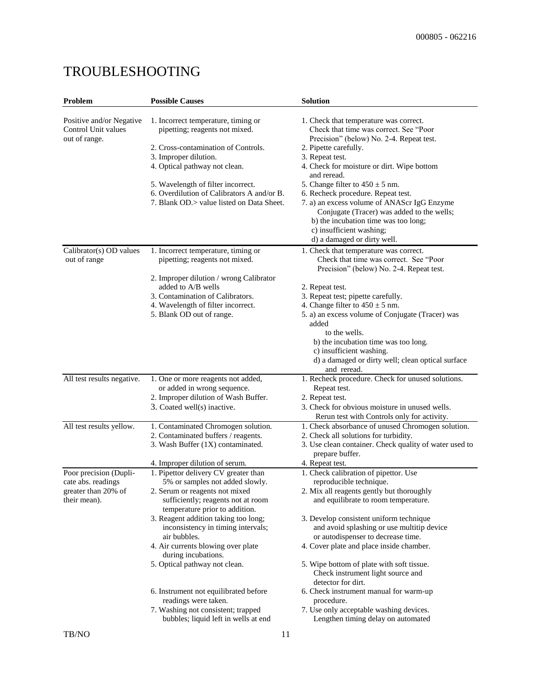| Problem                                                          | <b>Possible Causes</b>                                                | Solution                                                                                                                                                      |
|------------------------------------------------------------------|-----------------------------------------------------------------------|---------------------------------------------------------------------------------------------------------------------------------------------------------------|
| Positive and/or Negative<br>Control Unit values<br>out of range. | 1. Incorrect temperature, timing or<br>pipetting; reagents not mixed. | 1. Check that temperature was correct.<br>Check that time was correct. See "Poor<br>Precision" (below) No. 2-4. Repeat test.                                  |
|                                                                  | 2. Cross-contamination of Controls.                                   | 2. Pipette carefully.                                                                                                                                         |
|                                                                  | 3. Improper dilution.                                                 | 3. Repeat test.                                                                                                                                               |
|                                                                  | 4. Optical pathway not clean.                                         | 4. Check for moisture or dirt. Wipe bottom<br>and reread.                                                                                                     |
|                                                                  | 5. Wavelength of filter incorrect.                                    | 5. Change filter to $450 \pm 5$ nm.                                                                                                                           |
|                                                                  | 6. Overdilution of Calibrators A and/or B.                            | 6. Recheck procedure. Repeat test.                                                                                                                            |
|                                                                  | 7. Blank OD.> value listed on Data Sheet.                             | 7. a) an excess volume of ANAScr IgG Enzyme<br>Conjugate (Tracer) was added to the wells;<br>b) the incubation time was too long;<br>c) insufficient washing; |
|                                                                  |                                                                       | d) a damaged or dirty well.                                                                                                                                   |
| Calibrator(s) OD values<br>out of range                          | 1. Incorrect temperature, timing or<br>pipetting; reagents not mixed. | 1. Check that temperature was correct.<br>Check that time was correct. See "Poor<br>Precision" (below) No. 2-4. Repeat test.                                  |
|                                                                  | 2. Improper dilution / wrong Calibrator                               |                                                                                                                                                               |
|                                                                  | added to A/B wells                                                    | 2. Repeat test.                                                                                                                                               |
|                                                                  | 3. Contamination of Calibrators.                                      | 3. Repeat test; pipette carefully.                                                                                                                            |
|                                                                  | 4. Wavelength of filter incorrect.                                    | 4. Change filter to $450 \pm 5$ nm.                                                                                                                           |
|                                                                  | 5. Blank OD out of range.                                             | 5. a) an excess volume of Conjugate (Tracer) was<br>added                                                                                                     |
|                                                                  |                                                                       | to the wells.                                                                                                                                                 |
|                                                                  |                                                                       | b) the incubation time was too long.                                                                                                                          |
|                                                                  |                                                                       | c) insufficient washing.                                                                                                                                      |
|                                                                  |                                                                       | d) a damaged or dirty well; clean optical surface<br>and reread.                                                                                              |
| All test results negative.                                       | 1. One or more reagents not added,                                    | 1. Recheck procedure. Check for unused solutions.                                                                                                             |
|                                                                  | or added in wrong sequence.                                           | Repeat test.                                                                                                                                                  |
|                                                                  | 2. Improper dilution of Wash Buffer.                                  | 2. Repeat test.                                                                                                                                               |
|                                                                  | 3. Coated well(s) inactive.                                           | 3. Check for obvious moisture in unused wells.                                                                                                                |
|                                                                  |                                                                       | Rerun test with Controls only for activity.                                                                                                                   |
| All test results yellow.                                         | 1. Contaminated Chromogen solution.                                   | 1. Check absorbance of unused Chromogen solution.                                                                                                             |
|                                                                  | 2. Contaminated buffers / reagents.                                   | 2. Check all solutions for turbidity.                                                                                                                         |
|                                                                  | 3. Wash Buffer (1X) contaminated.                                     | 3. Use clean container. Check quality of water used to                                                                                                        |
|                                                                  |                                                                       | prepare buffer.                                                                                                                                               |
|                                                                  | 4. Improper dilution of serum.                                        | 4. Repeat test.                                                                                                                                               |
| Poor precision (Dupli-                                           | 1. Pipettor delivery CV greater than                                  | 1. Check calibration of pipettor. Use                                                                                                                         |
| cate abs. readings<br>greater than 20% of<br>their mean).        | 5% or samples not added slowly.<br>2. Serum or reagents not mixed     | reproducible technique.<br>2. Mix all reagents gently but thoroughly                                                                                          |
|                                                                  | sufficiently; reagents not at room<br>temperature prior to addition.  | and equilibrate to room temperature.                                                                                                                          |
|                                                                  | 3. Reagent addition taking too long;                                  | 3. Develop consistent uniform technique                                                                                                                       |
|                                                                  | inconsistency in timing intervals;<br>air bubbles.                    | and avoid splashing or use multitip device                                                                                                                    |
|                                                                  | 4. Air currents blowing over plate                                    | or autodispenser to decrease time.<br>4. Cover plate and place inside chamber.                                                                                |
|                                                                  | during incubations.                                                   |                                                                                                                                                               |
|                                                                  | 5. Optical pathway not clean.                                         | 5. Wipe bottom of plate with soft tissue.<br>Check instrument light source and<br>detector for dirt.                                                          |
|                                                                  | 6. Instrument not equilibrated before<br>readings were taken.         | 6. Check instrument manual for warm-up<br>procedure.                                                                                                          |
|                                                                  | 7. Washing not consistent; trapped                                    | 7. Use only acceptable washing devices.                                                                                                                       |
|                                                                  | bubbles; liquid left in wells at end                                  | Lengthen timing delay on automated                                                                                                                            |
| TB/NO                                                            | 11                                                                    |                                                                                                                                                               |

# TROUBLESHOOTING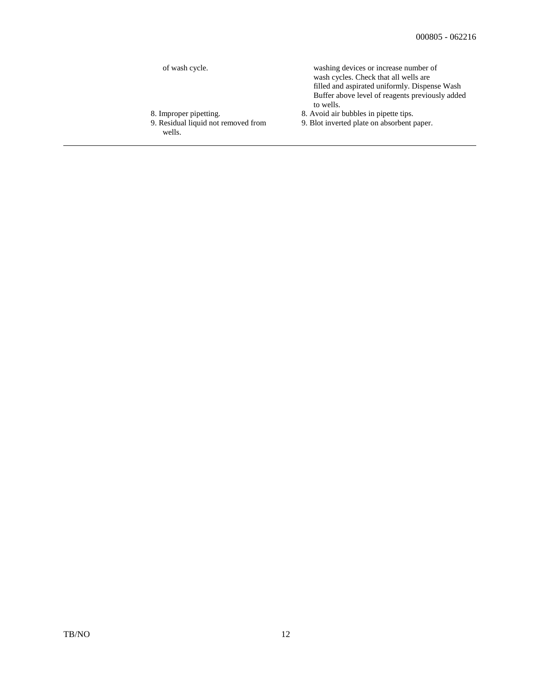| of wash cycle.                                | washing devices or increase number of<br>wash cycles. Check that all wells are<br>filled and aspirated uniformly. Dispense Wash<br>Buffer above level of reagents previously added<br>to wells. |
|-----------------------------------------------|-------------------------------------------------------------------------------------------------------------------------------------------------------------------------------------------------|
| 8. Improper pipetting.                        | 8. Avoid air bubbles in pipette tips.                                                                                                                                                           |
| 9. Residual liquid not removed from<br>wells. | 9. Blot inverted plate on absorbent paper.                                                                                                                                                      |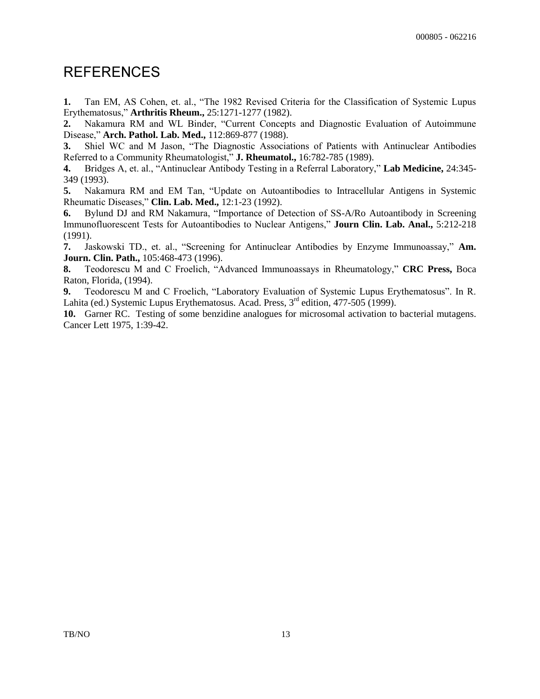## **REFERENCES**

**1.** Tan EM, AS Cohen, et. al., "The 1982 Revised Criteria for the Classification of Systemic Lupus Erythematosus," **Arthritis Rheum.,** 25:1271-1277 (1982).

**2.** Nakamura RM and WL Binder, "Current Concepts and Diagnostic Evaluation of Autoimmune Disease," **Arch. Pathol. Lab. Med.,** 112:869-877 (1988).

**3.** Shiel WC and M Jason, "The Diagnostic Associations of Patients with Antinuclear Antibodies Referred to a Community Rheumatologist," **J. Rheumatol.,** 16:782-785 (1989).

**4.** Bridges A, et. al., "Antinuclear Antibody Testing in a Referral Laboratory," **Lab Medicine,** 24:345- 349 (1993).

**5.** Nakamura RM and EM Tan, "Update on Autoantibodies to Intracellular Antigens in Systemic Rheumatic Diseases," **Clin. Lab. Med.,** 12:1-23 (1992).

**6.** Bylund DJ and RM Nakamura, "Importance of Detection of SS-A/Ro Autoantibody in Screening Immunofluorescent Tests for Autoantibodies to Nuclear Antigens," **Journ Clin. Lab. Anal.,** 5:212-218 (1991).

**7.** Jaskowski TD., et. al., "Screening for Antinuclear Antibodies by Enzyme Immunoassay," **Am. Journ. Clin. Path.,** 105:468-473 (1996).

**8.** Teodorescu M and C Froelich, "Advanced Immunoassays in Rheumatology," **CRC Press,** Boca Raton, Florida, (1994).

**9.** Teodorescu M and C Froelich, "Laboratory Evaluation of Systemic Lupus Erythematosus". In R. Lahita (ed.) Systemic Lupus Erythematosus. Acad. Press,  $3^{rd}$  edition, 477-505 (1999).

**10.** Garner RC. Testing of some benzidine analogues for microsomal activation to bacterial mutagens. Cancer Lett 1975, 1:39-42.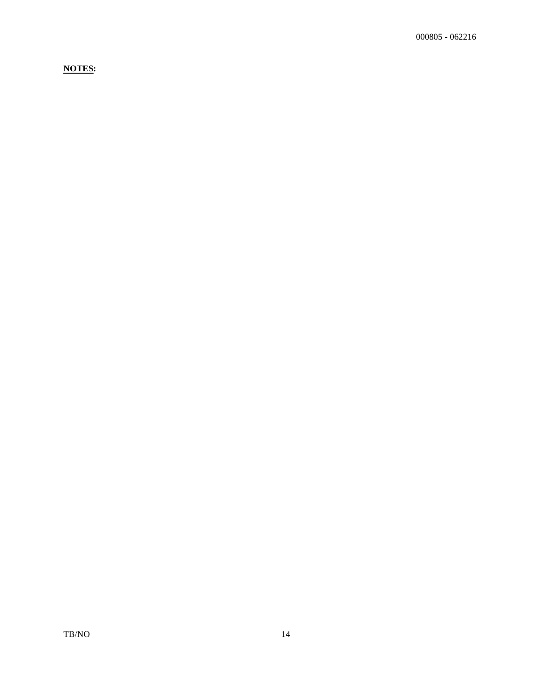**NOTES:**